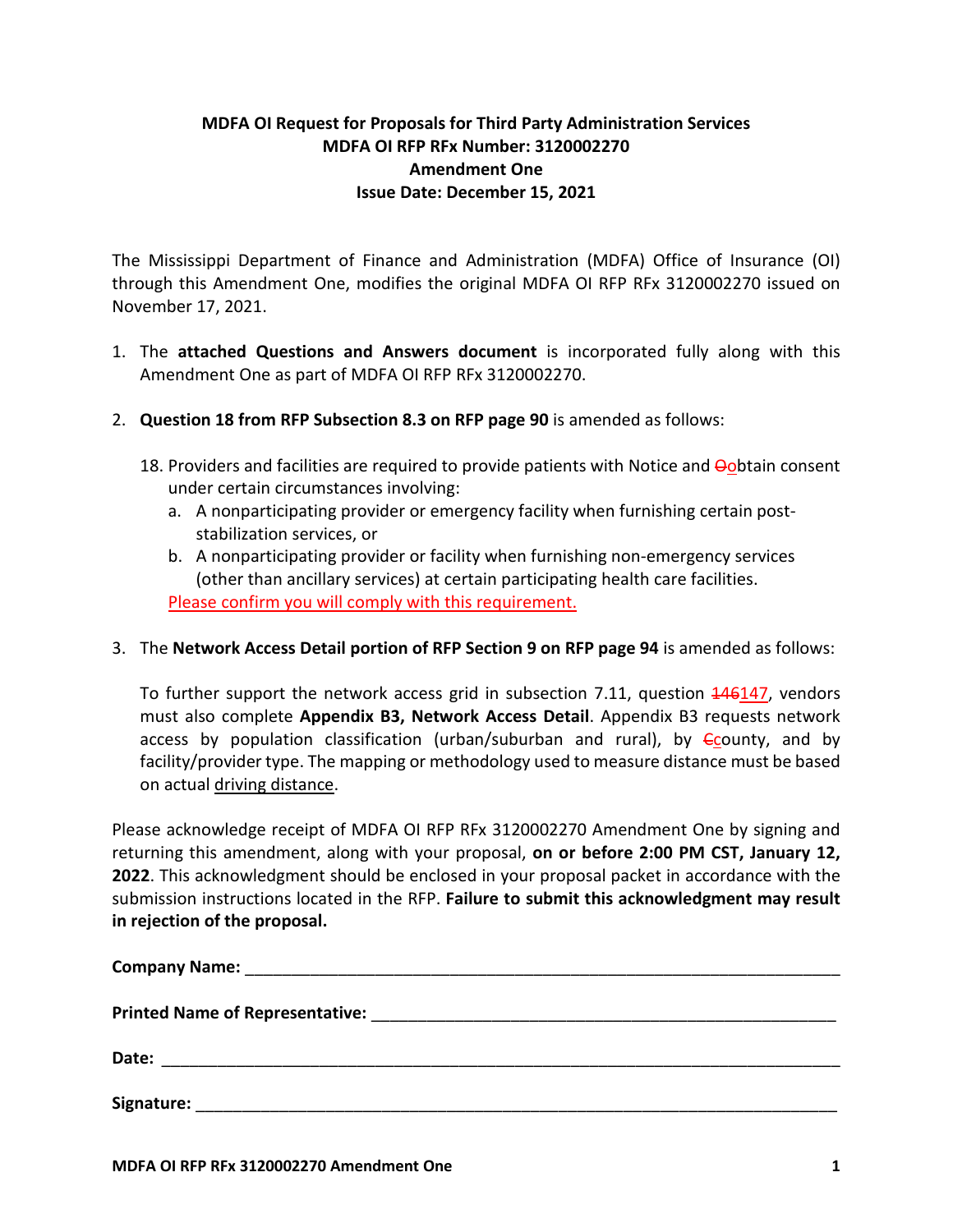## **MDFA OI Request for Proposals for Third Party Administration Services MDFA OI RFP RFx Number: 3120002270 Amendment One Issue Date: December 15, 2021**

The Mississippi Department of Finance and Administration (MDFA) Office of Insurance (OI) through this Amendment One, modifies the original MDFA OI RFP RFx 3120002270 issued on November 17, 2021.

- 1. The **attached Questions and Answers document** is incorporated fully along with this Amendment One as part of MDFA OI RFP RFx 3120002270.
- 2. **Question 18 from RFP Subsection 8.3 on RFP page 90** is amended as follows:
	- 18. Providers and facilities are required to provide patients with Notice and Oobtain consent under certain circumstances involving:
		- a. A nonparticipating provider or emergency facility when furnishing certain poststabilization services, or
		- b. A nonparticipating provider or facility when furnishing non-emergency services (other than ancillary services) at certain participating health care facilities. Please confirm you will comply with this requirement.
- 3. The **Network Access Detail portion of RFP Section 9 on RFP page 94** is amended as follows:

To further support the network access grid in subsection 7.11, question 446147, vendors must also complete **Appendix B3, Network Access Detail**. Appendix B3 requests network access by population classification (urban/suburban and rural), by  $\epsilon$ county, and by facility/provider type. The mapping or methodology used to measure distance must be based on actual driving distance.

Please acknowledge receipt of MDFA OI RFP RFx 3120002270 Amendment One by signing and returning this amendment, along with your proposal, **on or before 2:00 PM CST, January 12, 2022**. This acknowledgment should be enclosed in your proposal packet in accordance with the submission instructions located in the RFP. **Failure to submit this acknowledgment may result in rejection of the proposal.**

| Date: |  |
|-------|--|
|       |  |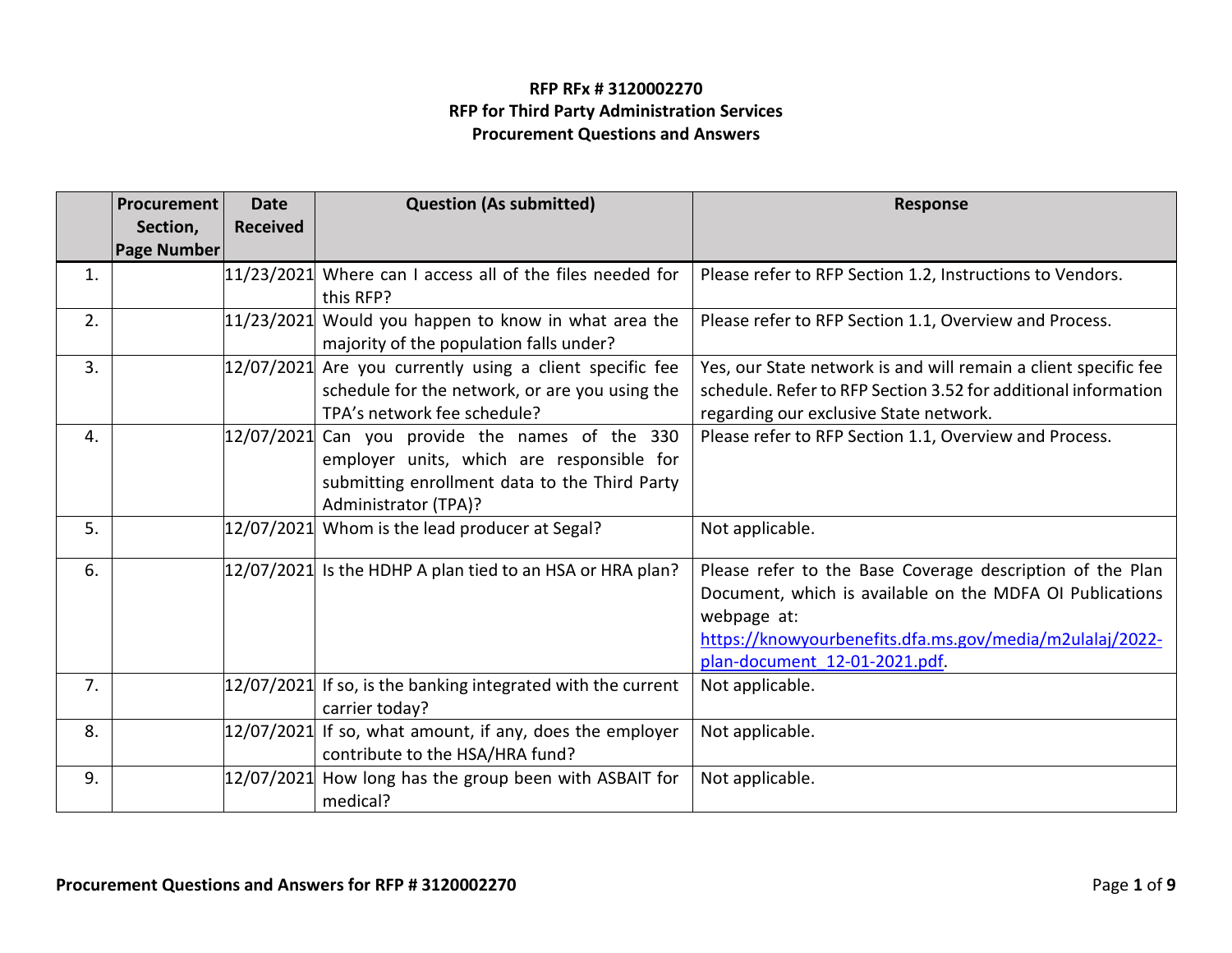## **RFP RFx # 3120002270 RFP for Third Party Administration Services Procurement Questions and Answers**

|    | <b>Question (As submitted)</b><br>Procurement<br><b>Date</b><br><b>Received</b><br>Section, |            |                                                                                                                                                            | <b>Response</b>                                                                                                                                                                                                                   |
|----|---------------------------------------------------------------------------------------------|------------|------------------------------------------------------------------------------------------------------------------------------------------------------------|-----------------------------------------------------------------------------------------------------------------------------------------------------------------------------------------------------------------------------------|
|    | <b>Page Number</b>                                                                          |            |                                                                                                                                                            |                                                                                                                                                                                                                                   |
| 1. |                                                                                             | 11/23/2021 | Where can I access all of the files needed for<br>this RFP?                                                                                                | Please refer to RFP Section 1.2, Instructions to Vendors.                                                                                                                                                                         |
| 2. |                                                                                             | 11/23/2021 | Would you happen to know in what area the<br>majority of the population falls under?                                                                       | Please refer to RFP Section 1.1, Overview and Process.                                                                                                                                                                            |
| 3. |                                                                                             | 12/07/2021 | Are you currently using a client specific fee<br>schedule for the network, or are you using the<br>TPA's network fee schedule?                             | Yes, our State network is and will remain a client specific fee<br>schedule. Refer to RFP Section 3.52 for additional information<br>regarding our exclusive State network.                                                       |
| 4. |                                                                                             | 12/07/2021 | Can you provide the names of the 330<br>employer units, which are responsible for<br>submitting enrollment data to the Third Party<br>Administrator (TPA)? | Please refer to RFP Section 1.1, Overview and Process.                                                                                                                                                                            |
| 5. |                                                                                             |            | 12/07/2021 Whom is the lead producer at Segal?                                                                                                             | Not applicable.                                                                                                                                                                                                                   |
| 6. |                                                                                             |            | $12/07/2021$ Is the HDHP A plan tied to an HSA or HRA plan?                                                                                                | Please refer to the Base Coverage description of the Plan<br>Document, which is available on the MDFA OI Publications<br>webpage at:<br>https://knowyourbenefits.dfa.ms.gov/media/m2ulalaj/2022-<br>plan-document 12-01-2021.pdf. |
| 7. |                                                                                             | 12/07/2021 | If so, is the banking integrated with the current<br>carrier today?                                                                                        | Not applicable.                                                                                                                                                                                                                   |
| 8. |                                                                                             | 12/07/2021 | If so, what amount, if any, does the employer<br>contribute to the HSA/HRA fund?                                                                           | Not applicable.                                                                                                                                                                                                                   |
| 9. |                                                                                             | 12/07/2021 | How long has the group been with ASBAIT for<br>medical?                                                                                                    | Not applicable.                                                                                                                                                                                                                   |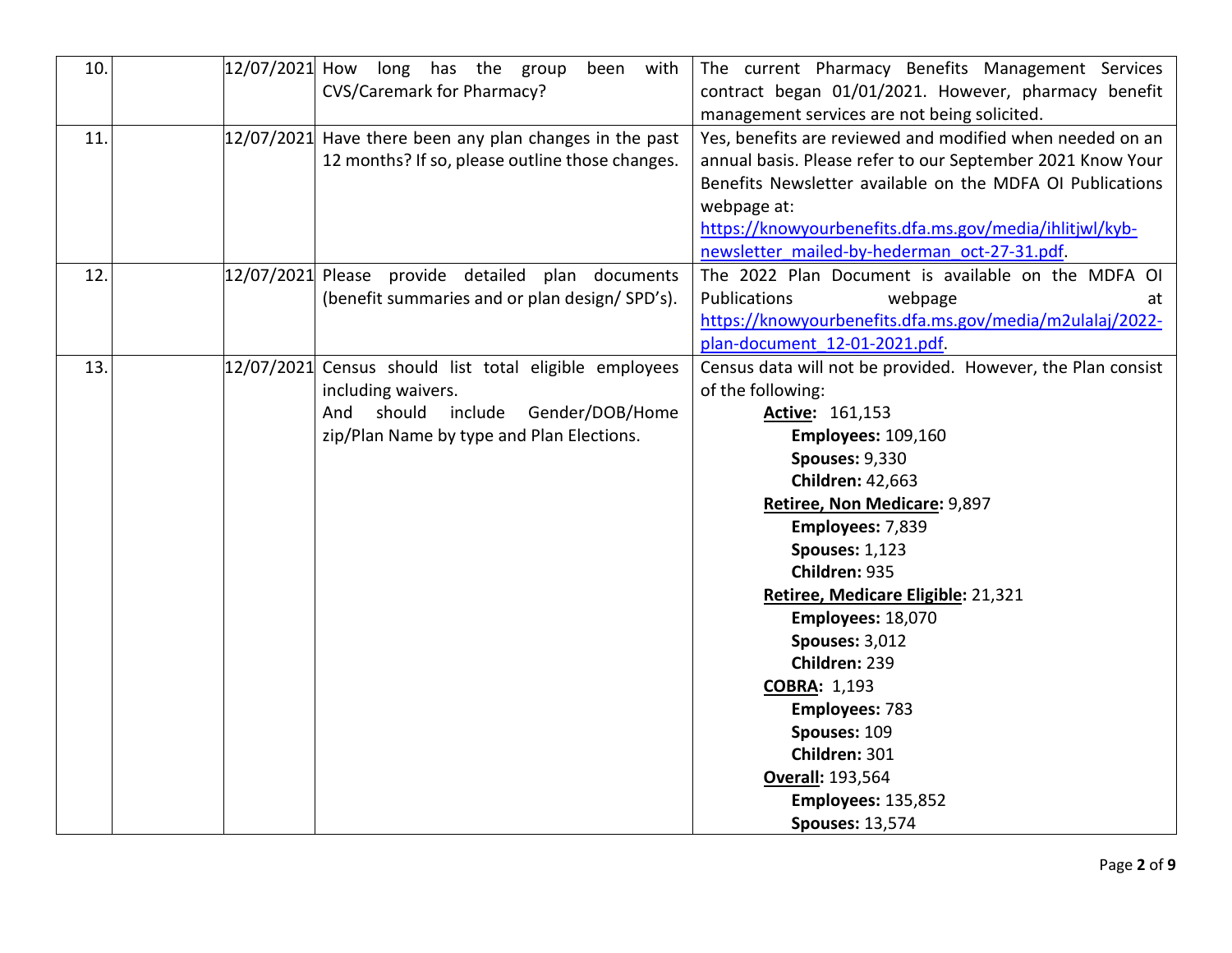| 10.<br>12/07/2021 How | long has the group<br>with<br>been<br><b>CVS/Caremark for Pharmacy?</b>                                                                                                  | The current Pharmacy Benefits Management Services<br>contract began 01/01/2021. However, pharmacy benefit<br>management services are not being solicited.                                                                                                                                                                                                                                                                                                                                                                                                  |
|-----------------------|--------------------------------------------------------------------------------------------------------------------------------------------------------------------------|------------------------------------------------------------------------------------------------------------------------------------------------------------------------------------------------------------------------------------------------------------------------------------------------------------------------------------------------------------------------------------------------------------------------------------------------------------------------------------------------------------------------------------------------------------|
| 11.                   | $12/07/2021$ Have there been any plan changes in the past<br>12 months? If so, please outline those changes.                                                             | Yes, benefits are reviewed and modified when needed on an<br>annual basis. Please refer to our September 2021 Know Your<br>Benefits Newsletter available on the MDFA OI Publications<br>webpage at:<br>https://knowyourbenefits.dfa.ms.gov/media/ihlitjwl/kyb-<br>newsletter mailed-by-hederman oct-27-31.pdf.                                                                                                                                                                                                                                             |
| 12.                   | 12/07/2021 Please provide detailed plan documents<br>(benefit summaries and or plan design/SPD's).                                                                       | The 2022 Plan Document is available on the MDFA OI<br><b>Publications</b><br>webpage<br>at<br>https://knowyourbenefits.dfa.ms.gov/media/m2ulalaj/2022-<br>plan-document 12-01-2021.pdf.                                                                                                                                                                                                                                                                                                                                                                    |
| 13.                   | 12/07/2021 Census should list total eligible employees<br>including waivers.<br>include<br>Gender/DOB/Home<br>And<br>should<br>zip/Plan Name by type and Plan Elections. | Census data will not be provided. However, the Plan consist<br>of the following:<br>Active: 161,153<br><b>Employees: 109,160</b><br><b>Spouses: 9,330</b><br><b>Children: 42,663</b><br>Retiree, Non Medicare: 9,897<br>Employees: 7,839<br><b>Spouses: 1,123</b><br>Children: 935<br>Retiree, Medicare Eligible: 21,321<br>Employees: 18,070<br><b>Spouses: 3,012</b><br>Children: 239<br><b>COBRA: 1,193</b><br><b>Employees: 783</b><br>Spouses: 109<br>Children: 301<br><b>Overall: 193,564</b><br><b>Employees: 135,852</b><br><b>Spouses: 13,574</b> |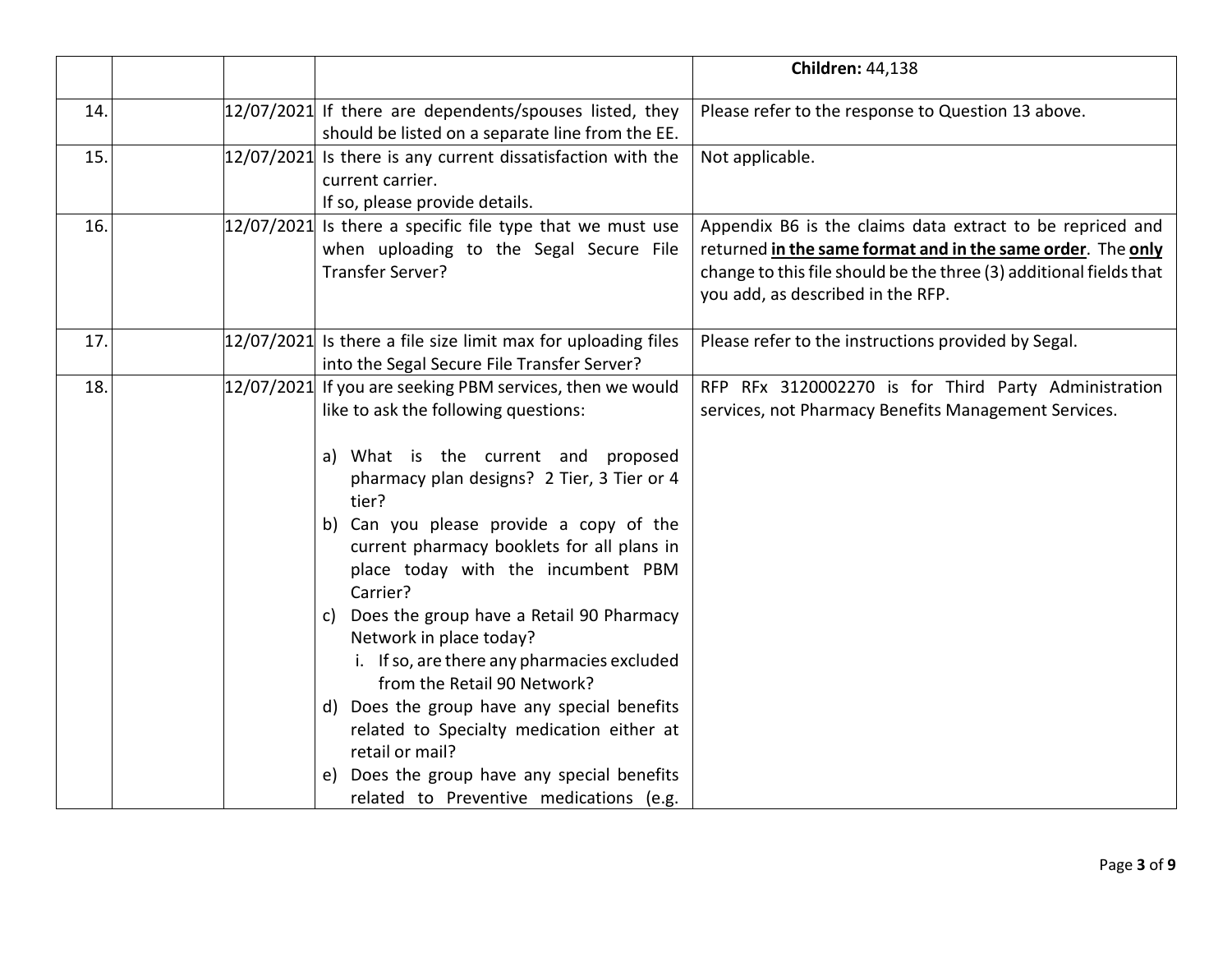|     |                                                                                                                                                                                                                                                                                                                                                                                                                                                                                                                                                                                                                                                                                                                   | <b>Children: 44,138</b>                                                                                                                                                                                                             |
|-----|-------------------------------------------------------------------------------------------------------------------------------------------------------------------------------------------------------------------------------------------------------------------------------------------------------------------------------------------------------------------------------------------------------------------------------------------------------------------------------------------------------------------------------------------------------------------------------------------------------------------------------------------------------------------------------------------------------------------|-------------------------------------------------------------------------------------------------------------------------------------------------------------------------------------------------------------------------------------|
| 14. | $12/07/2021$ If there are dependents/spouses listed, they<br>should be listed on a separate line from the EE.                                                                                                                                                                                                                                                                                                                                                                                                                                                                                                                                                                                                     | Please refer to the response to Question 13 above.                                                                                                                                                                                  |
| 15. | $12/07/2021$ Is there is any current dissatisfaction with the<br>current carrier.<br>If so, please provide details.                                                                                                                                                                                                                                                                                                                                                                                                                                                                                                                                                                                               | Not applicable.                                                                                                                                                                                                                     |
| 16. | $12/07/2021$ Is there a specific file type that we must use<br>when uploading to the Segal Secure File<br>Transfer Server?                                                                                                                                                                                                                                                                                                                                                                                                                                                                                                                                                                                        | Appendix B6 is the claims data extract to be repriced and<br>returned in the same format and in the same order. The only<br>change to this file should be the three (3) additional fields that<br>you add, as described in the RFP. |
| 17. | $12/07/2021$ Is there a file size limit max for uploading files<br>into the Segal Secure File Transfer Server?                                                                                                                                                                                                                                                                                                                                                                                                                                                                                                                                                                                                    | Please refer to the instructions provided by Segal.                                                                                                                                                                                 |
| 18. | 12/07/2021 If you are seeking PBM services, then we would<br>like to ask the following questions:<br>a) What is the current and proposed<br>pharmacy plan designs? 2 Tier, 3 Tier or 4<br>tier?<br>b) Can you please provide a copy of the<br>current pharmacy booklets for all plans in<br>place today with the incumbent PBM<br>Carrier?<br>Does the group have a Retail 90 Pharmacy<br>C)<br>Network in place today?<br>i. If so, are there any pharmacies excluded<br>from the Retail 90 Network?<br>d) Does the group have any special benefits<br>related to Specialty medication either at<br>retail or mail?<br>Does the group have any special benefits<br>e)<br>related to Preventive medications (e.g. | RFP RFx 3120002270 is for Third Party Administration<br>services, not Pharmacy Benefits Management Services.                                                                                                                        |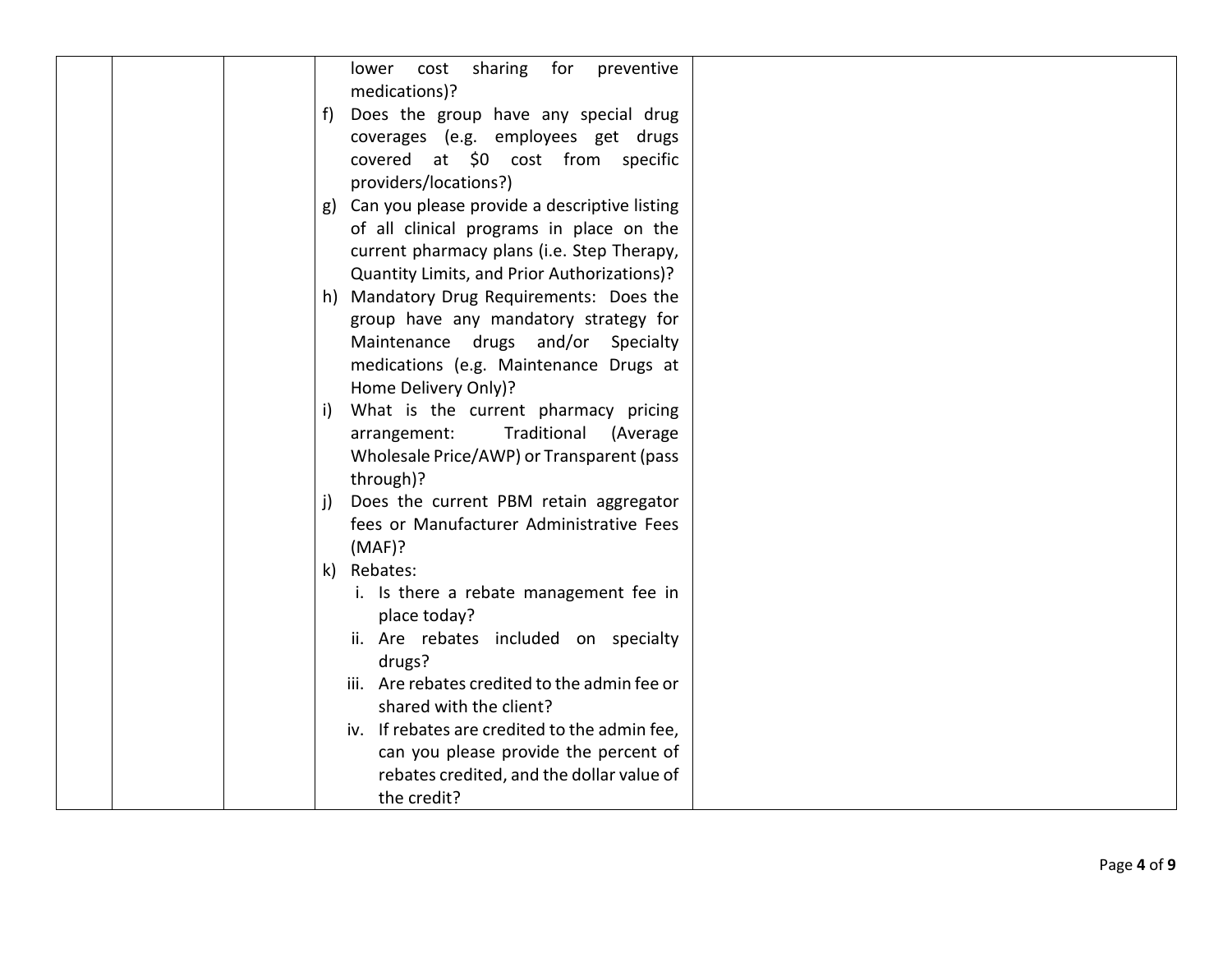| sharing for<br>preventive<br>lower<br>cost<br>medications)?                                                                                                                                                                                                                                                                                                |
|------------------------------------------------------------------------------------------------------------------------------------------------------------------------------------------------------------------------------------------------------------------------------------------------------------------------------------------------------------|
| f) Does the group have any special drug<br>coverages (e.g. employees get drugs<br>covered at \$0 cost from specific                                                                                                                                                                                                                                        |
| providers/locations?)<br>g) Can you please provide a descriptive listing<br>of all clinical programs in place on the<br>current pharmacy plans (i.e. Step Therapy,<br>Quantity Limits, and Prior Authorizations)?                                                                                                                                          |
| h) Mandatory Drug Requirements: Does the<br>group have any mandatory strategy for<br>Maintenance drugs and/or Specialty<br>medications (e.g. Maintenance Drugs at<br>Home Delivery Only)?                                                                                                                                                                  |
| What is the current pharmacy pricing<br>$\vert$<br>Traditional (Average<br>arrangement:<br>Wholesale Price/AWP) or Transparent (pass<br>through)?                                                                                                                                                                                                          |
| Does the current PBM retain aggregator<br>j)<br>fees or Manufacturer Administrative Fees<br>(MAF)?                                                                                                                                                                                                                                                         |
| k) Rebates:<br>i. Is there a rebate management fee in<br>place today?<br>ii. Are rebates included on specialty<br>drugs?<br>iii. Are rebates credited to the admin fee or<br>shared with the client?<br>iv. If rebates are credited to the admin fee,<br>can you please provide the percent of<br>rebates credited, and the dollar value of<br>the credit? |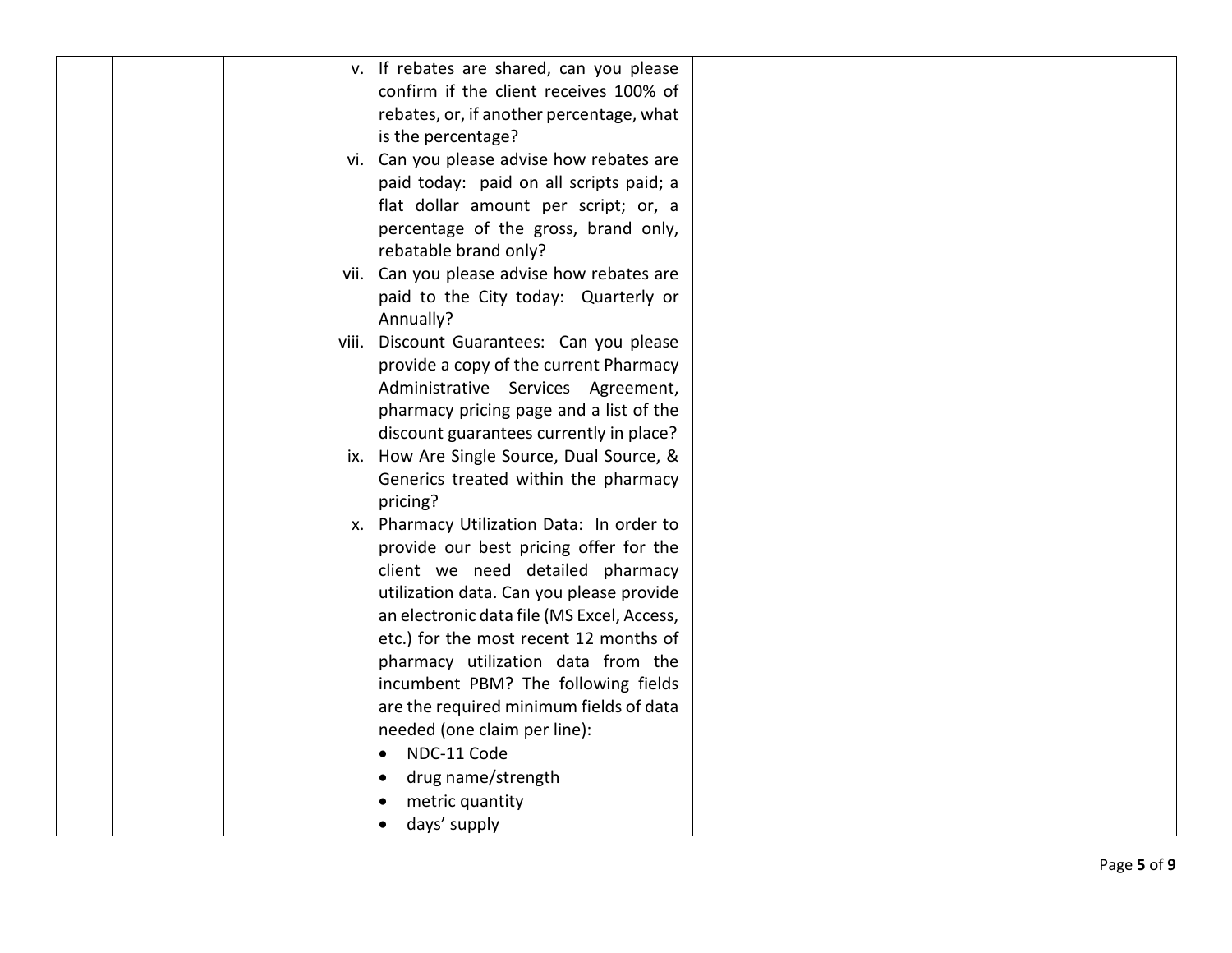|  |  | v. If rebates are shared, can you please   |  |
|--|--|--------------------------------------------|--|
|  |  | confirm if the client receives 100% of     |  |
|  |  |                                            |  |
|  |  | rebates, or, if another percentage, what   |  |
|  |  | is the percentage?                         |  |
|  |  | vi. Can you please advise how rebates are  |  |
|  |  | paid today: paid on all scripts paid; a    |  |
|  |  | flat dollar amount per script; or, a       |  |
|  |  | percentage of the gross, brand only,       |  |
|  |  | rebatable brand only?                      |  |
|  |  | vii. Can you please advise how rebates are |  |
|  |  | paid to the City today: Quarterly or       |  |
|  |  | Annually?                                  |  |
|  |  | viii. Discount Guarantees: Can you please  |  |
|  |  | provide a copy of the current Pharmacy     |  |
|  |  | Administrative Services Agreement,         |  |
|  |  | pharmacy pricing page and a list of the    |  |
|  |  | discount guarantees currently in place?    |  |
|  |  | ix. How Are Single Source, Dual Source, &  |  |
|  |  | Generics treated within the pharmacy       |  |
|  |  | pricing?                                   |  |
|  |  | x. Pharmacy Utilization Data: In order to  |  |
|  |  | provide our best pricing offer for the     |  |
|  |  | client we need detailed pharmacy           |  |
|  |  | utilization data. Can you please provide   |  |
|  |  | an electronic data file (MS Excel, Access, |  |
|  |  | etc.) for the most recent 12 months of     |  |
|  |  | pharmacy utilization data from the         |  |
|  |  |                                            |  |
|  |  | incumbent PBM? The following fields        |  |
|  |  | are the required minimum fields of data    |  |
|  |  | needed (one claim per line):               |  |
|  |  | NDC-11 Code                                |  |
|  |  | drug name/strength                         |  |
|  |  | metric quantity                            |  |
|  |  | days' supply                               |  |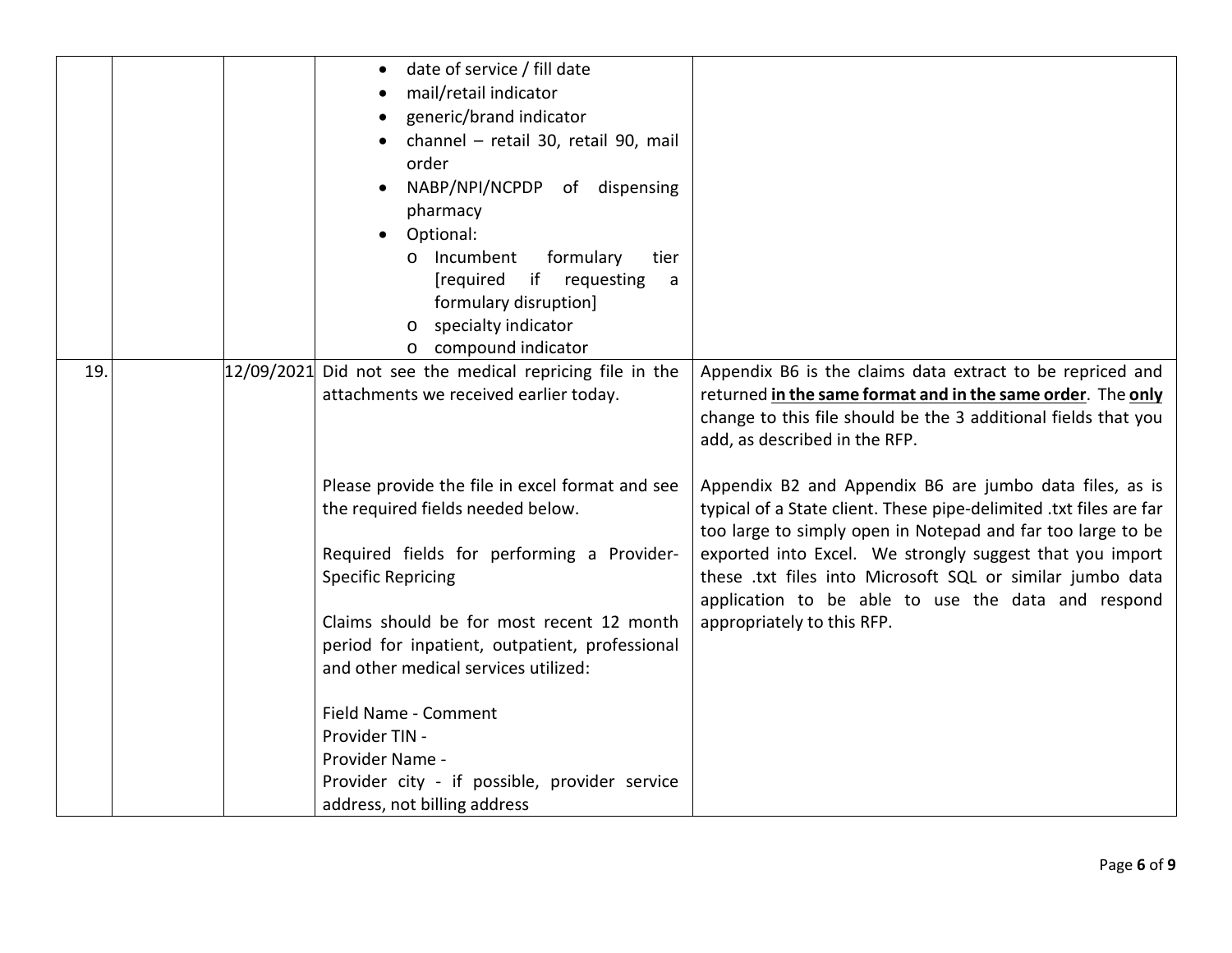| 19. |  | date of service / fill date<br>mail/retail indicator<br>generic/brand indicator<br>channel - retail 30, retail 90, mail<br>order<br>NABP/NPI/NCPDP of dispensing<br>pharmacy<br>Optional:<br>o Incumbent<br>formulary<br>tier<br>[required if requesting<br>a<br>formulary disruption]<br>o specialty indicator<br>o compound indicator                                                                                                              |                                                                                                                                                                                                                                                                                                                                                                                                           |
|-----|--|------------------------------------------------------------------------------------------------------------------------------------------------------------------------------------------------------------------------------------------------------------------------------------------------------------------------------------------------------------------------------------------------------------------------------------------------------|-----------------------------------------------------------------------------------------------------------------------------------------------------------------------------------------------------------------------------------------------------------------------------------------------------------------------------------------------------------------------------------------------------------|
|     |  | $12/09/2021$ Did not see the medical repricing file in the<br>attachments we received earlier today.                                                                                                                                                                                                                                                                                                                                                 | Appendix B6 is the claims data extract to be repriced and<br>returned in the same format and in the same order. The only<br>change to this file should be the 3 additional fields that you<br>add, as described in the RFP.                                                                                                                                                                               |
|     |  | Please provide the file in excel format and see<br>the required fields needed below.<br>Required fields for performing a Provider-<br><b>Specific Repricing</b><br>Claims should be for most recent 12 month<br>period for inpatient, outpatient, professional<br>and other medical services utilized:<br>Field Name - Comment<br>Provider TIN -<br>Provider Name -<br>Provider city - if possible, provider service<br>address, not billing address | Appendix B2 and Appendix B6 are jumbo data files, as is<br>typical of a State client. These pipe-delimited .txt files are far<br>too large to simply open in Notepad and far too large to be<br>exported into Excel. We strongly suggest that you import<br>these .txt files into Microsoft SQL or similar jumbo data<br>application to be able to use the data and respond<br>appropriately to this RFP. |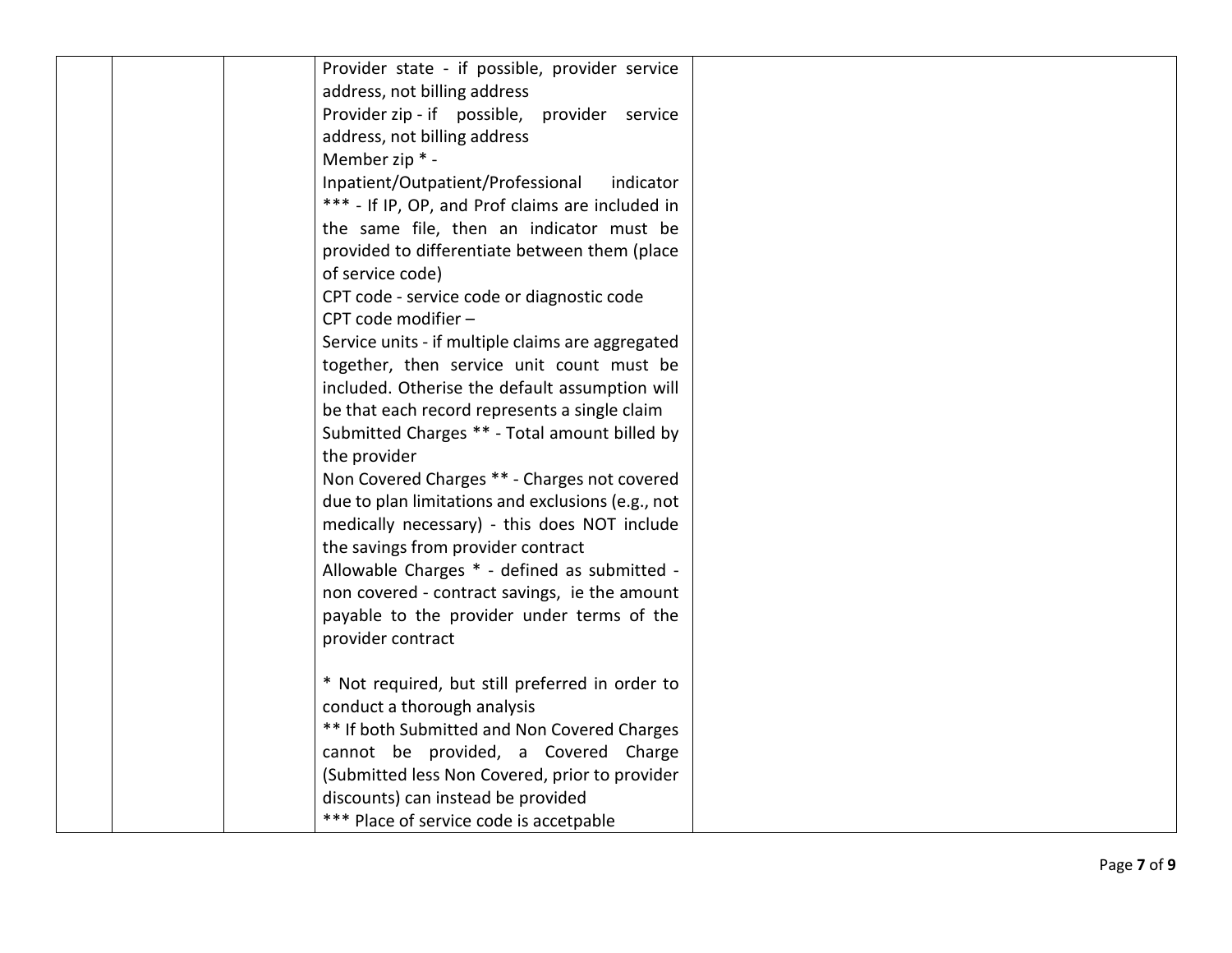|  | Provider state - if possible, provider service    |  |
|--|---------------------------------------------------|--|
|  | address, not billing address                      |  |
|  | Provider zip - if possible, provider service      |  |
|  | address, not billing address                      |  |
|  | Member zip * -                                    |  |
|  | Inpatient/Outpatient/Professional<br>indicator    |  |
|  | *** - If IP, OP, and Prof claims are included in  |  |
|  | the same file, then an indicator must be          |  |
|  | provided to differentiate between them (place     |  |
|  | of service code)                                  |  |
|  | CPT code - service code or diagnostic code        |  |
|  | CPT code modifier -                               |  |
|  | Service units - if multiple claims are aggregated |  |
|  | together, then service unit count must be         |  |
|  | included. Otherise the default assumption will    |  |
|  | be that each record represents a single claim     |  |
|  | Submitted Charges ** - Total amount billed by     |  |
|  | the provider                                      |  |
|  | Non Covered Charges ** - Charges not covered      |  |
|  | due to plan limitations and exclusions (e.g., not |  |
|  | medically necessary) - this does NOT include      |  |
|  | the savings from provider contract                |  |
|  | Allowable Charges * - defined as submitted -      |  |
|  | non covered - contract savings, ie the amount     |  |
|  | payable to the provider under terms of the        |  |
|  | provider contract                                 |  |
|  | * Not required, but still preferred in order to   |  |
|  | conduct a thorough analysis                       |  |
|  | ** If both Submitted and Non Covered Charges      |  |
|  | cannot be provided, a Covered Charge              |  |
|  | (Submitted less Non Covered, prior to provider    |  |
|  | discounts) can instead be provided                |  |
|  | *** Place of service code is accetpable           |  |
|  |                                                   |  |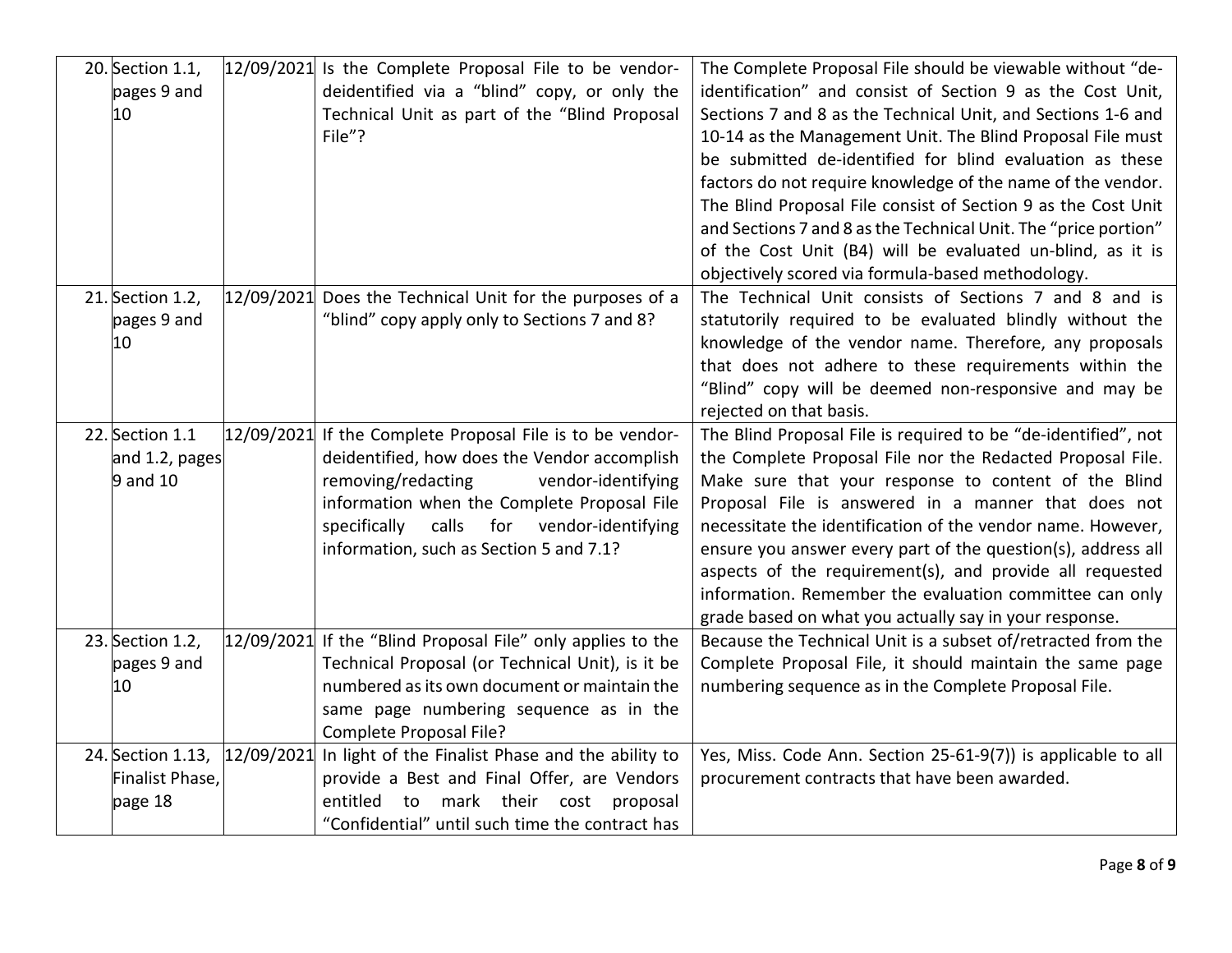| 20. Section 1.1,<br>pages 9 and<br>10           |            | $12/09/2021$ Is the Complete Proposal File to be vendor-<br>deidentified via a "blind" copy, or only the<br>Technical Unit as part of the "Blind Proposal<br>File"?                                                                                                                               | The Complete Proposal File should be viewable without "de-<br>identification" and consist of Section 9 as the Cost Unit,<br>Sections 7 and 8 as the Technical Unit, and Sections 1-6 and<br>10-14 as the Management Unit. The Blind Proposal File must<br>be submitted de-identified for blind evaluation as these<br>factors do not require knowledge of the name of the vendor.<br>The Blind Proposal File consist of Section 9 as the Cost Unit<br>and Sections 7 and 8 as the Technical Unit. The "price portion"<br>of the Cost Unit (B4) will be evaluated un-blind, as it is<br>objectively scored via formula-based methodology. |
|-------------------------------------------------|------------|---------------------------------------------------------------------------------------------------------------------------------------------------------------------------------------------------------------------------------------------------------------------------------------------------|------------------------------------------------------------------------------------------------------------------------------------------------------------------------------------------------------------------------------------------------------------------------------------------------------------------------------------------------------------------------------------------------------------------------------------------------------------------------------------------------------------------------------------------------------------------------------------------------------------------------------------------|
| 21. Section 1.2,<br>pages 9 and<br>10           |            | 12/09/2021 Does the Technical Unit for the purposes of a<br>"blind" copy apply only to Sections 7 and 8?                                                                                                                                                                                          | The Technical Unit consists of Sections 7 and 8 and is<br>statutorily required to be evaluated blindly without the<br>knowledge of the vendor name. Therefore, any proposals<br>that does not adhere to these requirements within the<br>"Blind" copy will be deemed non-responsive and may be<br>rejected on that basis.                                                                                                                                                                                                                                                                                                                |
| 22. Section 1.1<br>and 1.2, pages<br>9 and 10   |            | $12/09/2021$ If the Complete Proposal File is to be vendor-<br>deidentified, how does the Vendor accomplish<br>removing/redacting<br>vendor-identifying<br>information when the Complete Proposal File<br>calls for vendor-identifying<br>specifically<br>information, such as Section 5 and 7.1? | The Blind Proposal File is required to be "de-identified", not<br>the Complete Proposal File nor the Redacted Proposal File.<br>Make sure that your response to content of the Blind<br>Proposal File is answered in a manner that does not<br>necessitate the identification of the vendor name. However,<br>ensure you answer every part of the question(s), address all<br>aspects of the requirement(s), and provide all requested<br>information. Remember the evaluation committee can only<br>grade based on what you actually say in your response.                                                                              |
| 23. Section 1.2,<br>pages 9 and<br>10           |            | $12/09/2021$ If the "Blind Proposal File" only applies to the<br>Technical Proposal (or Technical Unit), is it be<br>numbered as its own document or maintain the<br>same page numbering sequence as in the<br>Complete Proposal File?                                                            | Because the Technical Unit is a subset of/retracted from the<br>Complete Proposal File, it should maintain the same page<br>numbering sequence as in the Complete Proposal File.                                                                                                                                                                                                                                                                                                                                                                                                                                                         |
| 24. Section 1.13,<br>Finalist Phase,<br>page 18 | 12/09/2021 | In light of the Finalist Phase and the ability to<br>provide a Best and Final Offer, are Vendors<br>mark their cost<br>entitled<br>to<br>proposal<br>"Confidential" until such time the contract has                                                                                              | Yes, Miss. Code Ann. Section 25-61-9(7)) is applicable to all<br>procurement contracts that have been awarded.                                                                                                                                                                                                                                                                                                                                                                                                                                                                                                                           |